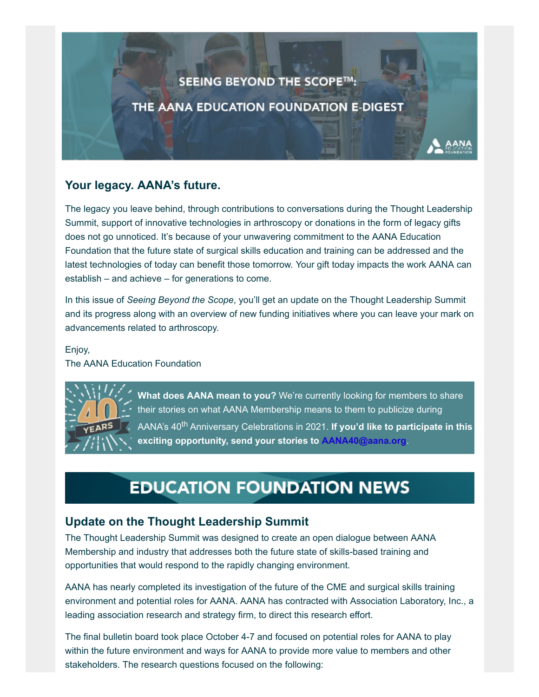# SEEING BEYOND THE SCOPE™: THE AANA EDUCATION FOUNDATION E-DIGEST

## **Your legacy. AANA's future.**

The legacy you leave behind, through contributions to conversations during the Thought Leadership Summit, support of innovative technologies in arthroscopy or donations in the form of legacy gifts does not go unnoticed. It's because of your unwavering commitment to the AANA Education Foundation that the future state of surgical skills education and training can be addressed and the latest technologies of today can benefit those tomorrow. Your gift today impacts the work AANA can establish – and achieve – for generations to come.

In this issue of *Seeing Beyond the Scope*, you'll get an update on the Thought Leadership Summit and its progress along with an overview of new funding initiatives where you can leave your mark on advancements related to arthroscopy.

Enjoy,

The AANA Education Foundation



**What does AANA mean to you?** We're currently looking for members to share their stories on what AANA Membership means to them to publicize during AANA's 40<sup>th</sup> Anniversary Celebrations in 2021. If you'd like to participate in this **exciting opportunity, send your stories to [AANA40@aana.org](mailto:AANA40@aana.org?subject=AANA%20Member%20Testimonial)**.

# **EDUCATION FOUNDATION NEWS**

## **Update on the Thought Leadership Summit**

The Thought Leadership Summit was designed to create an open dialogue between AANA Membership and industry that addresses both the future state of skills-based training and opportunities that would respond to the rapidly changing environment.

AANA has nearly completed its investigation of the future of the CME and surgical skills training environment and potential roles for AANA. AANA has contracted with Association Laboratory, Inc., a leading association research and strategy firm, to direct this research effort.

The final bulletin board took place October 4-7 and focused on potential roles for AANA to play within the future environment and ways for AANA to provide more value to members and other stakeholders. The research questions focused on the following: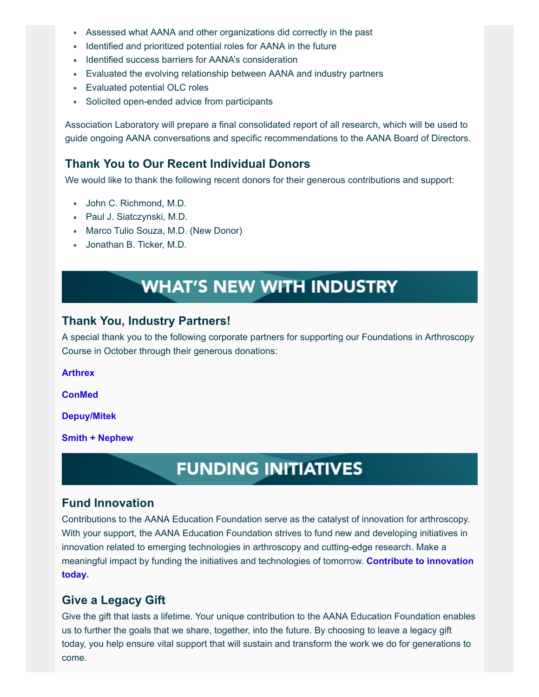- Assessed what AANA and other organizations did correctly in the past
- Identified and prioritized potential roles for AANA in the future
- Identified success barriers for AANA's consideration
- Evaluated the evolving relationship between AANA and industry partners
- Evaluated potential OLC roles
- Solicited open-ended advice from participants

Association Laboratory will prepare a final consolidated report of all research, which will be used to guide ongoing AANA conversations and specific recommendations to the AANA Board of Directors.

### **Thank You to Our Recent Individual Donors**

We would like to thank the following recent donors for their generous contributions and support:

- John C. Richmond, M.D.
- Paul J. Siatczynski, M.D.
- Marco Tulio Souza, M.D. (New Donor)
- Jonathan B. Ticker, M.D.

# **WHAT'S NEW WITH INDUSTRY**

#### **Thank You, Industry Partners!**

A special thank you to the following corporate partners for supporting our Foundations in Arthroscopy Course in October through their generous donations:

**[Arthrex](https://www.arthrex.com/)**

**[ConMed](https://www.conmed.com/en)**

**[Depuy/Mitek](https://www.jnjmedicaldevices.com/en-EMEA/specialty/depuy-mitek-sports-medicine)**

**[Smith + Nephew](https://www.smith-nephew.com/)**

## **FUNDING INITIATIVES**

#### **Fund Innovation**

Contributions to the AANA Education Foundation serve as the catalyst of innovation for arthroscopy. With your support, the AANA Education Foundation strives to fund new and developing initiatives in innovation related to emerging technologies in arthroscopy and cutting-edge research. Make a [meaningful impact by funding the initiatives and technologies of tomorrow.](https://www.aana.org/aanaimis/Members/Education-Foundation/seeing-beyond-the-scope.aspx?WebsiteKey=10f6eed0-bcab-4019-8f57-18dad8aaf2d7&utm_source=aana&utm_medium=vanity&utm_campaign=fund-innovation) **Contribute to innovation today.**

#### **Give a Legacy Gift**

Give the gift that lasts a lifetime. Your unique contribution to the AANA Education Foundation enables us to further the goals that we share, together, into the future. By choosing to leave a legacy gift today, you help ensure vital support that will sustain and transform the work we do for generations to come.